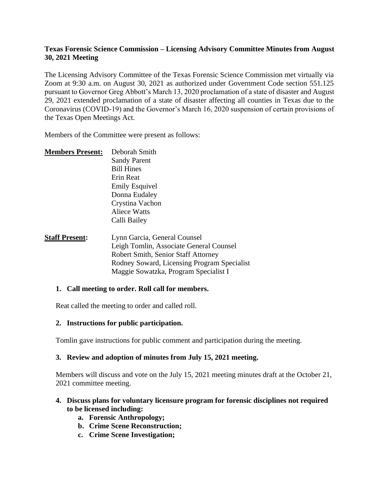## **Texas Forensic Science Commission – Licensing Advisory Committee Minutes from August 30, 2021 Meeting**

The Licensing Advisory Committee of the Texas Forensic Science Commission met virtually via Zoom at 9:30 a.m. on August 30, 2021 as authorized under Government Code section 551.125 pursuant to Governor Greg Abbott's March 13, 2020 proclamation of a state of disaster and August 29, 2021 extended proclamation of a state of disaster affecting all counties in Texas due to the Coronavirus (COVID-19) and the Governor's March 16, 2020 suspension of certain provisions of the Texas Open Meetings Act.

Members of the Committee were present as follows:

| <b>Members Present:</b> | Deborah Smith         |
|-------------------------|-----------------------|
|                         | <b>Sandy Parent</b>   |
|                         | <b>Bill Hines</b>     |
|                         | Erin Reat             |
|                         | <b>Emily Esquivel</b> |
|                         | Donna Eudaley         |
|                         | Crystina Vachon       |
|                         | Aliece Watts          |
|                         | Calli Bailey          |
|                         |                       |
|                         |                       |

**Staff Present:** Lynn Garcia, General Counsel Leigh Tomlin, Associate General Counsel Robert Smith, Senior Staff Attorney Rodney Soward, Licensing Program Specialist Maggie Sowatzka, Program Specialist I

#### **1. Call meeting to order. Roll call for members.**

Reat called the meeting to order and called roll.

# **2. Instructions for public participation.**

Tomlin gave instructions for public comment and participation during the meeting.

#### **3. Review and adoption of minutes from July 15, 2021 meeting.**

Members will discuss and vote on the July 15, 2021 meeting minutes draft at the October 21, 2021 committee meeting.

# **4. Discuss plans for voluntary licensure program for forensic disciplines not required to be licensed including:**

- **a. Forensic Anthropology;**
- **b. Crime Scene Reconstruction;**
- **c. Crime Scene Investigation;**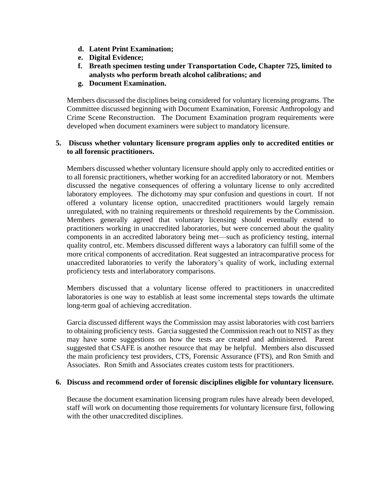- **d. Latent Print Examination;**
- **e. Digital Evidence;**
- **f. Breath specimen testing under Transportation Code, Chapter 725, limited to analysts who perform breath alcohol calibrations; and**
- **g. Document Examination.**

Members discussed the disciplines being considered for voluntary licensing programs. The Committee discussed beginning with Document Examination, Forensic Anthropology and Crime Scene Reconstruction. The Document Examination program requirements were developed when document examiners were subject to mandatory licensure.

## **5. Discuss whether voluntary licensure program applies only to accredited entities or to all forensic practitioners.**

Members discussed whether voluntary licensure should apply only to accredited entities or to all forensic practitioners, whether working for an accredited laboratory or not. Members discussed the negative consequences of offering a voluntary license to only accredited laboratory employees. The dichotomy may spur confusion and questions in court. If not offered a voluntary license option, unaccredited practitioners would largely remain unregulated, with no training requirements or threshold requirements by the Commission. Members generally agreed that voluntary licensing should eventually extend to practitioners working in unaccredited laboratories, but were concerned about the quality components in an accredited laboratory being met—such as proficiency testing, internal quality control, etc. Members discussed different ways a laboratory can fulfill some of the more critical components of accreditation. Reat suggested an intracomparative process for unaccredited laboratories to verify the laboratory's quality of work, including external proficiency tests and interlaboratory comparisons.

Members discussed that a voluntary license offered to practitioners in unaccredited laboratories is one way to establish at least some incremental steps towards the ultimate long-term goal of achieving accreditation.

Garcia discussed different ways the Commission may assist laboratories with cost barriers to obtaining proficiency tests. Garcia suggested the Commission reach out to NIST as they may have some suggestions on how the tests are created and administered. Parent suggested that CSAFE is another resource that may be helpful. Members also discussed the main proficiency test providers, CTS, Forensic Assurance (FTS), and Ron Smith and Associates. Ron Smith and Associates creates custom tests for practitioners.

#### **6. Discuss and recommend order of forensic disciplines eligible for voluntary licensure.**

Because the document examination licensing program rules have already been developed, staff will work on documenting those requirements for voluntary licensure first, following with the other unaccredited disciplines.